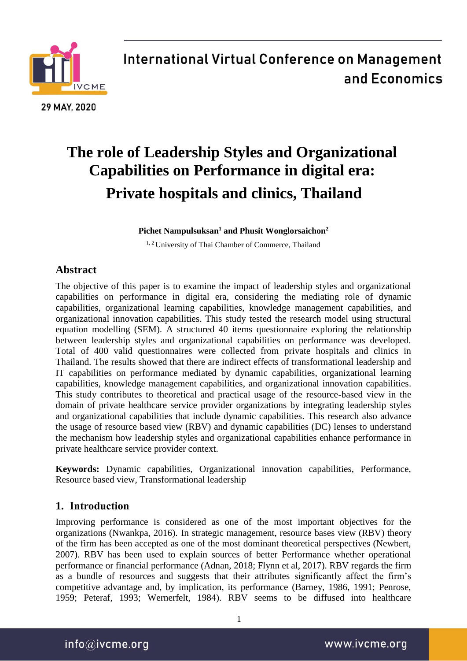

# **The role of Leadership Styles and Organizational Capabilities on Performance in digital era: Private hospitals and clinics, Thailand**

**Pichet Nampulsuksan<sup>1</sup> and Phusit Wonglorsaichon<sup>2</sup>**

<sup>1, 2</sup> University of Thai Chamber of Commerce, Thailand

### **Abstract**

The objective of this paper is to examine the impact of leadership styles and organizational capabilities on performance in digital era, considering the mediating role of dynamic capabilities, organizational learning capabilities, knowledge management capabilities, and organizational innovation capabilities. This study tested the research model using structural equation modelling (SEM). A structured 40 items questionnaire exploring the relationship between leadership styles and organizational capabilities on performance was developed. Total of 400 valid questionnaires were collected from private hospitals and clinics in Thailand. The results showed that there are indirect effects of transformational leadership and IT capabilities on performance mediated by dynamic capabilities, organizational learning capabilities, knowledge management capabilities, and organizational innovation capabilities. This study contributes to theoretical and practical usage of the resource-based view in the domain of private healthcare service provider organizations by integrating leadership styles and organizational capabilities that include dynamic capabilities. This research also advance the usage of resource based view (RBV) and dynamic capabilities (DC) lenses to understand the mechanism how leadership styles and organizational capabilities enhance performance in private healthcare service provider context.

**Keywords:** Dynamic capabilities, Organizational innovation capabilities, Performance, Resource based view, Transformational leadership

### **1. Introduction**

Improving performance is considered as one of the most important objectives for the organizations (Nwankpa, 2016). In strategic management, resource bases view (RBV) theory of the firm has been accepted as one of the most dominant theoretical perspectives (Newbert, 2007). RBV has been used to explain sources of better Performance whether operational performance or financial performance (Adnan, 2018; Flynn et al, 2017). RBV regards the firm as a bundle of resources and suggests that their attributes significantly affect the firm's competitive advantage and, by implication, its performance (Barney, 1986, 1991; Penrose, 1959; Peteraf, 1993; Wernerfelt, 1984). RBV seems to be diffused into healthcare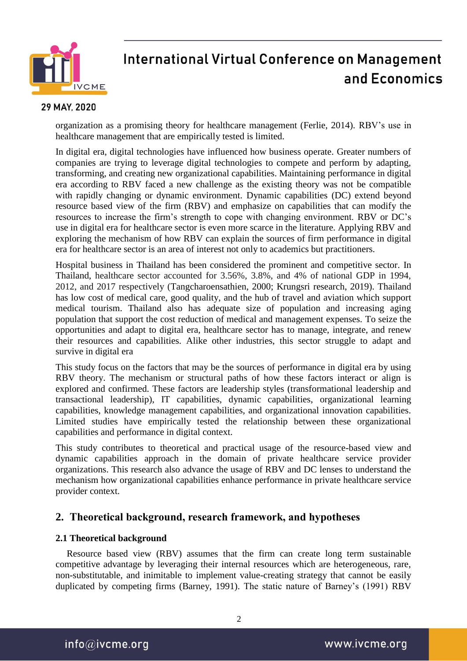

#### 29 MAY, 2020

organization as a promising theory for healthcare management (Ferlie, 2014). RBV's use in healthcare management that are empirically tested is limited.

In digital era, digital technologies have influenced how business operate. Greater numbers of companies are trying to leverage digital technologies to compete and perform by adapting, transforming, and creating new organizational capabilities. Maintaining performance in digital era according to RBV faced a new challenge as the existing theory was not be compatible with rapidly changing or dynamic environment. Dynamic capabilities (DC) extend beyond resource based view of the firm (RBV) and emphasize on capabilities that can modify the resources to increase the firm's strength to cope with changing environment. RBV or DC's use in digital era for healthcare sector is even more scarce in the literature. Applying RBV and exploring the mechanism of how RBV can explain the sources of firm performance in digital era for healthcare sector is an area of interest not only to academics but practitioners.

Hospital business in Thailand has been considered the prominent and competitive sector. In Thailand, healthcare sector accounted for 3.56%, 3.8%, and 4% of national GDP in 1994, 2012, and 2017 respectively (Tangcharoensathien, 2000; Krungsri research, 2019). Thailand has low cost of medical care, good quality, and the hub of travel and aviation which support medical tourism. Thailand also has adequate size of population and increasing aging population that support the cost reduction of medical and management expenses. To seize the opportunities and adapt to digital era, healthcare sector has to manage, integrate, and renew their resources and capabilities. Alike other industries, this sector struggle to adapt and survive in digital era

This study focus on the factors that may be the sources of performance in digital era by using RBV theory. The mechanism or structural paths of how these factors interact or align is explored and confirmed. These factors are leadership styles (transformational leadership and transactional leadership), IT capabilities, dynamic capabilities, organizational learning capabilities, knowledge management capabilities, and organizational innovation capabilities. Limited studies have empirically tested the relationship between these organizational capabilities and performance in digital context.

This study contributes to theoretical and practical usage of the resource-based view and dynamic capabilities approach in the domain of private healthcare service provider organizations. This research also advance the usage of RBV and DC lenses to understand the mechanism how organizational capabilities enhance performance in private healthcare service provider context.

### **2. Theoretical background, research framework, and hypotheses**

#### **2.1 Theoretical background**

Resource based view (RBV) assumes that the firm can create long term sustainable competitive advantage by leveraging their internal resources which are heterogeneous, rare, non-substitutable, and inimitable to implement value-creating strategy that cannot be easily duplicated by competing firms (Barney, 1991). The static nature of Barney's (1991) RBV

info@ivcme.org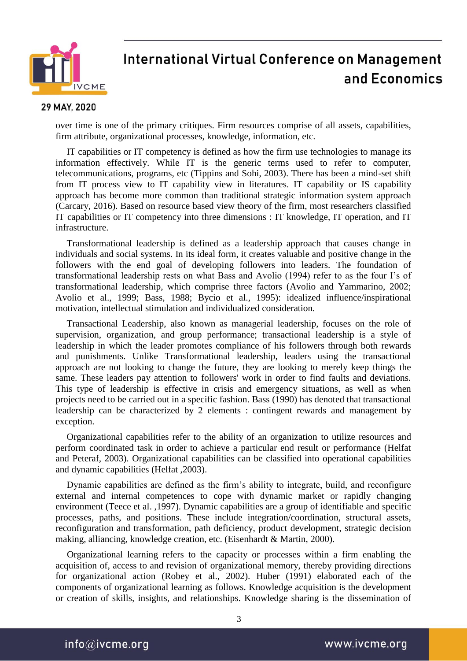

#### 29 MAY, 2020

over time is one of the primary critiques. Firm resources comprise of all assets, capabilities, firm attribute, organizational processes, knowledge, information, etc.

IT capabilities or IT competency is defined as how the firm use technologies to manage its information effectively. While IT is the generic terms used to refer to computer, telecommunications, programs, etc (Tippins and Sohi, 2003). There has been a mind-set shift from IT process view to IT capability view in literatures. IT capability or IS capability approach has become more common than traditional strategic information system approach (Carcary, 2016). Based on resource based view theory of the firm, most researchers classified IT capabilities or IT competency into three dimensions : IT knowledge, IT operation, and IT infrastructure.

Transformational leadership is defined as a leadership approach that causes change in individuals and social systems. In its ideal form, it creates valuable and positive change in the followers with the end goal of developing followers into leaders. The foundation of transformational leadership rests on what Bass and Avolio (1994) refer to as the four I's of transformational leadership, which comprise three factors (Avolio and Yammarino, 2002; Avolio et al., 1999; Bass, 1988; Bycio et al., 1995): idealized influence/inspirational motivation, intellectual stimulation and individualized consideration.

Transactional Leadership, also known as managerial leadership, focuses on the role of supervision, organization, and group performance; transactional leadership is a style of leadership in which the leader promotes compliance of his followers through both rewards and punishments. Unlike Transformational leadership, leaders using the transactional approach are not looking to change the future, they are looking to merely keep things the same. These leaders pay attention to followers' work in order to find faults and deviations. This type of leadership is effective in crisis and emergency situations, as well as when projects need to be carried out in a specific fashion. Bass (1990) has denoted that transactional leadership can be characterized by 2 elements : contingent rewards and management by exception.

Organizational capabilities refer to the ability of an organization to utilize resources and perform coordinated task in order to achieve a particular end result or performance (Helfat and Peteraf, 2003). Organizational capabilities can be classified into operational capabilities and dynamic capabilities (Helfat ,2003).

Dynamic capabilities are defined as the firm's ability to integrate, build, and reconfigure external and internal competences to cope with dynamic market or rapidly changing environment (Teece et al. ,1997). Dynamic capabilities are a group of identifiable and specific processes, paths, and positions. These include integration/coordination, structural assets, reconfiguration and transformation, path deficiency, product development, strategic decision making, alliancing, knowledge creation, etc. (Eisenhardt & Martin, 2000).

Organizational learning refers to the capacity or processes within a firm enabling the acquisition of, access to and revision of organizational memory, thereby providing directions for organizational action (Robey et al., 2002). Huber (1991) elaborated each of the components of organizational learning as follows. Knowledge acquisition is the development or creation of skills, insights, and relationships. Knowledge sharing is the dissemination of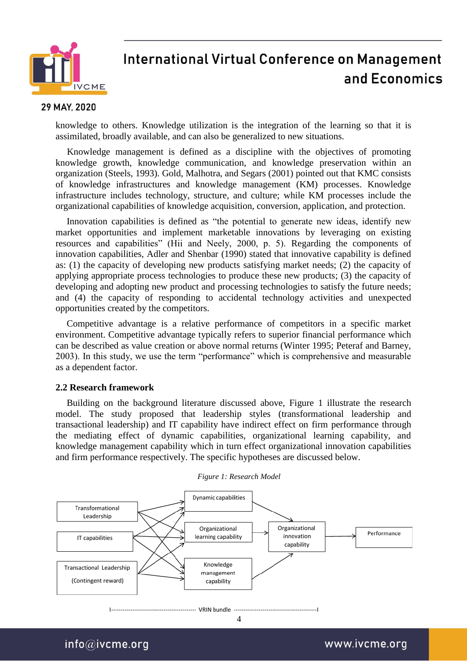

#### 29 MAY, 2020

knowledge to others. Knowledge utilization is the integration of the learning so that it is assimilated, broadly available, and can also be generalized to new situations.

Knowledge management is defined as a discipline with the objectives of promoting knowledge growth, knowledge communication, and knowledge preservation within an organization (Steels, 1993). Gold, Malhotra, and Segars (2001) pointed out that KMC consists of knowledge infrastructures and knowledge management (KM) processes. Knowledge infrastructure includes technology, structure, and culture; while KM processes include the organizational capabilities of knowledge acquisition, conversion, application, and protection.

Innovation capabilities is defined as "the potential to generate new ideas, identify new market opportunities and implement marketable innovations by leveraging on existing resources and capabilities" (Hii and Neely, 2000, p. 5). Regarding the components of innovation capabilities, Adler and Shenbar (1990) stated that innovative capability is defined as: (1) the capacity of developing new products satisfying market needs; (2) the capacity of applying appropriate process technologies to produce these new products; (3) the capacity of developing and adopting new product and processing technologies to satisfy the future needs; and (4) the capacity of responding to accidental technology activities and unexpected opportunities created by the competitors.

Competitive advantage is a relative performance of competitors in a specific market environment. Competitive advantage typically refers to superior financial performance which can be described as value creation or above normal returns (Winter 1995; Peteraf and Barney, 2003). In this study, we use the term "performance" which is comprehensive and measurable as a dependent factor.

#### **2.2 Research framework**

Building on the background literature discussed above, Figure 1 illustrate the research model. The study proposed that leadership styles (transformational leadership and transactional leadership) and IT capability have indirect effect on firm performance through the mediating effect of dynamic capabilities, organizational learning capability, and knowledge management capability which in turn effect organizational innovation capabilities and firm performance respectively. The specific hypotheses are discussed below.



#### *Figure 1: Research Model*

 $info@$ ivcme.org

www.ivcme.org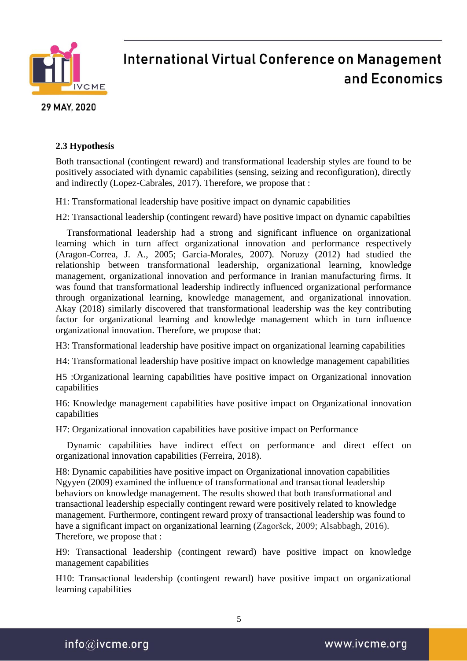

29 MAY, 2020

### **2.3 Hypothesis**

Both transactional (contingent reward) and transformational leadership styles are found to be positively associated with dynamic capabilities (sensing, seizing and reconfiguration), directly and indirectly (Lopez-Cabrales, 2017). Therefore, we propose that :

H1: Transformational leadership have positive impact on dynamic capabilities

H2: Transactional leadership (contingent reward) have positive impact on dynamic capabilties

Transformational leadership had a strong and significant influence on organizational learning which in turn affect organizational innovation and performance respectively (Aragon-Correa, J. A., 2005; Garcia-Morales, 2007). Noruzy (2012) had studied the relationship between transformational leadership, organizational learning, knowledge management, organizational innovation and performance in Iranian manufacturing firms. It was found that transformational leadership indirectly influenced organizational performance through organizational learning, knowledge management, and organizational innovation. Akay (2018) similarly discovered that transformational leadership was the key contributing factor for organizational learning and knowledge management which in turn influence organizational innovation. Therefore, we propose that:

H3: Transformational leadership have positive impact on organizational learning capabilities

H4: Transformational leadership have positive impact on knowledge management capabilities

H5 :Organizational learning capabilities have positive impact on Organizational innovation capabilities

H6: Knowledge management capabilities have positive impact on Organizational innovation capabilities

H7: Organizational innovation capabilities have positive impact on Performance

Dynamic capabilities have indirect effect on performance and direct effect on organizational innovation capabilities (Ferreira, 2018).

H8: Dynamic capabilities have positive impact on Organizational innovation capabilities Ngyyen (2009) examined the influence of transformational and transactional leadership behaviors on knowledge management. The results showed that both transformational and transactional leadership especially contingent reward were positively related to knowledge management. Furthermore, contingent reward proxy of transactional leadership was found to have a significant impact on organizational learning (Zagoršek, 2009; Alsabbagh, 2016). Therefore, we propose that :

H9: Transactional leadership (contingent reward) have positive impact on knowledge management capabilities

H10: Transactional leadership (contingent reward) have positive impact on organizational learning capabilities

 $info@$ ivcme.org

www.ivcme.org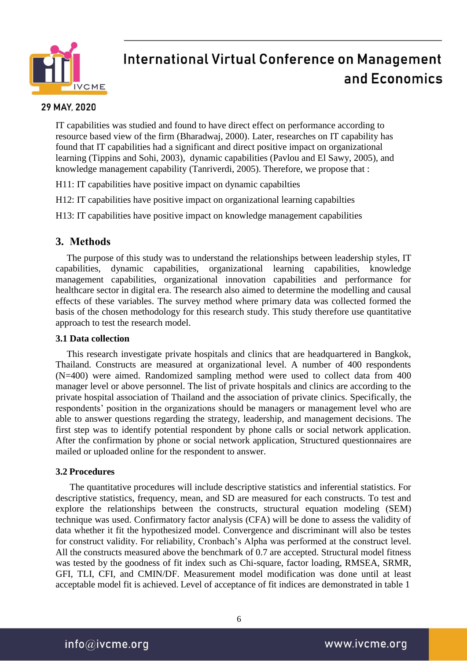

#### 29 MAY, 2020

IT capabilities was studied and found to have direct effect on performance according to resource based view of the firm (Bharadwaj, 2000). Later, researches on IT capability has found that IT capabilities had a significant and direct positive impact on organizational learning (Tippins and Sohi, 2003), dynamic capabilities (Pavlou and El Sawy, 2005), and knowledge management capability (Tanriverdi, 2005). Therefore, we propose that :

H11: IT capabilities have positive impact on dynamic capabilties

H12: IT capabilities have positive impact on organizational learning capabilties

H13: IT capabilities have positive impact on knowledge management capabilities

### **3. Methods**

The purpose of this study was to understand the relationships between leadership styles, IT capabilities, dynamic capabilities, organizational learning capabilities, knowledge management capabilities, organizational innovation capabilities and performance for healthcare sector in digital era. The research also aimed to determine the modelling and causal effects of these variables. The survey method where primary data was collected formed the basis of the chosen methodology for this research study. This study therefore use quantitative approach to test the research model.

#### **3.1 Data collection**

This research investigate private hospitals and clinics that are headquartered in Bangkok, Thailand. Constructs are measured at organizational level. A number of 400 respondents (N=400) were aimed. Randomized sampling method were used to collect data from 400 manager level or above personnel. The list of private hospitals and clinics are according to the private hospital association of Thailand and the association of private clinics. Specifically, the respondents' position in the organizations should be managers or management level who are able to answer questions regarding the strategy, leadership, and management decisions. The first step was to identify potential respondent by phone calls or social network application. After the confirmation by phone or social network application, Structured questionnaires are mailed or uploaded online for the respondent to answer.

#### **3.2 Procedures**

The quantitative procedures will include descriptive statistics and inferential statistics. For descriptive statistics, frequency, mean, and SD are measured for each constructs. To test and explore the relationships between the constructs, structural equation modeling (SEM) technique was used. Confirmatory factor analysis (CFA) will be done to assess the validity of data whether it fit the hypothesized model. Convergence and discriminant will also be testes for construct validity. For reliability, Cronbach's Alpha was performed at the construct level. All the constructs measured above the benchmark of 0.7 are accepted. Structural model fitness was tested by the goodness of fit index such as Chi-square, factor loading, RMSEA, SRMR, GFI, TLI, CFI, and CMIN/DF. Measurement model modification was done until at least acceptable model fit is achieved. Level of acceptance of fit indices are demonstrated in table 1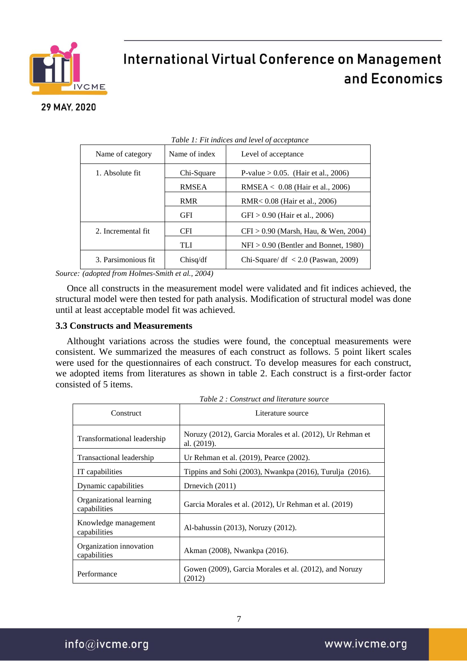

### 29 MAY, 2020

| Table 1: Fit indices and level of acceptance |               |                                                     |  |  |  |
|----------------------------------------------|---------------|-----------------------------------------------------|--|--|--|
| Name of category                             | Name of index | Level of acceptance                                 |  |  |  |
| 1. Absolute fit.                             | Chi-Square    | P-value $> 0.05$ . (Hair et al., 2006)              |  |  |  |
|                                              | <b>RMSEA</b>  | RMSEA $< 0.08$ (Hair et al., 2006)                  |  |  |  |
|                                              | <b>RMR</b>    | RMR< 0.08 (Hair et al., 2006)                       |  |  |  |
|                                              | <b>GFI</b>    | $GFI > 0.90$ (Hair et al., 2006)                    |  |  |  |
| 2. Incremental fit                           | <b>CFI</b>    | $CFI > 0.90$ (Marsh, Hau, & Wen, 2004)              |  |  |  |
|                                              | <b>TLI</b>    | $NFI > 0.90$ (Bentler and Bonnet, 1980)             |  |  |  |
| 3. Parsimonious fit                          | Chisq/df      | Chi-Square/ df $\langle 2.0 \rangle$ (Paswan, 2009) |  |  |  |
|                                              |               |                                                     |  |  |  |

*Source: (adopted from Holmes-Smith et al., 2004)*

Once all constructs in the measurement model were validated and fit indices achieved, the structural model were then tested for path analysis. Modification of structural model was done until at least acceptable model fit was achieved.

#### **3.3 Constructs and Measurements**

Althought variations across the studies were found, the conceptual measurements were consistent. We summarized the measures of each construct as follows. 5 point likert scales were used for the questionnaires of each construct. To develop measures for each construct, we adopted items from literatures as shown in table 2. Each construct is a first-order factor consisted of 5 items.

| Construct                               | Literature source                                                        |  |  |
|-----------------------------------------|--------------------------------------------------------------------------|--|--|
| Transformational leadership             | Noruzy (2012), Garcia Morales et al. (2012), Ur Rehman et<br>al. (2019). |  |  |
| Transactional leadership                | Ur Rehman et al. (2019), Pearce (2002).                                  |  |  |
| IT capabilities                         | Tippins and Sohi (2003), Nwankpa (2016), Turulja (2016).                 |  |  |
| Dynamic capabilities                    | Drnevich (2011)                                                          |  |  |
| Organizational learning<br>capabilities | Garcia Morales et al. (2012), Ur Rehman et al. (2019)                    |  |  |
| Knowledge management<br>capabilities    | Al-bahussin (2013), Noruzy (2012).                                       |  |  |
| Organization innovation<br>capabilities | Akman (2008), Nwankpa (2016).                                            |  |  |
| Performance                             | Gowen (2009), Garcia Morales et al. (2012), and Noruzy<br>(2012)         |  |  |

*Table 2 : Construct and literature source*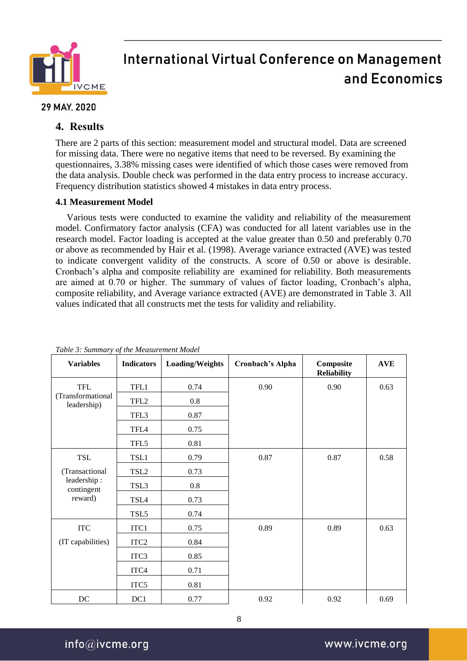

### 29 MAY, 2020

### **4. Results**

There are 2 parts of this section: measurement model and structural model. Data are screened for missing data. There were no negative items that need to be reversed. By examining the questionnaires, 3.38% missing cases were identified of which those cases were removed from the data analysis. Double check was performed in the data entry process to increase accuracy. Frequency distribution statistics showed 4 mistakes in data entry process.

### **4.1 Measurement Model**

Various tests were conducted to examine the validity and reliability of the measurement model. Confirmatory factor analysis (CFA) was conducted for all latent variables use in the research model. Factor loading is accepted at the value greater than 0.50 and preferably 0.70 or above as recommended by Hair et al. (1998). Average variance extracted (AVE) was tested to indicate convergent validity of the constructs. A score of 0.50 or above is desirable. Cronbach's alpha and composite reliability are examined for reliability. Both measurements are aimed at 0.70 or higher. The summary of values of factor loading, Cronbach's alpha, composite reliability, and Average variance extracted (AVE) are demonstrated in Table 3. All values indicated that all constructs met the tests for validity and reliability.

| ruste st summan y of me measurement mouet<br><b>Variables</b> | <b>Indicators</b> | Loading/Weights | Cronbach's Alpha | Composite<br><b>Reliability</b> | <b>AVE</b> |
|---------------------------------------------------------------|-------------------|-----------------|------------------|---------------------------------|------------|
| <b>TFL</b>                                                    | TFL1              | 0.74            | 0.90             | 0.90                            | 0.63       |
| (Transformational<br>leadership)                              | TFL <sub>2</sub>  | $0.8\,$         |                  |                                 |            |
|                                                               | TFL3              | 0.87            |                  |                                 |            |
|                                                               | TFL4              | 0.75            |                  |                                 |            |
|                                                               | TFL5              | 0.81            |                  |                                 |            |
| TSL                                                           | TSL1              | 0.79            | 0.87             | 0.87                            | 0.58       |
| (Transactional                                                | TSL <sub>2</sub>  | 0.73            |                  |                                 |            |
| leadership:<br>contingent                                     | TSL3              | $0.8\,$         |                  |                                 |            |
| reward)                                                       | TSL4              | 0.73            |                  |                                 |            |
|                                                               | TSL5              | 0.74            |                  |                                 |            |
| <b>ITC</b>                                                    | ITC1              | 0.75            | 0.89             | 0.89                            | 0.63       |
| (IT capabilities)                                             | ITC <sub>2</sub>  | 0.84            |                  |                                 |            |
|                                                               | ITC <sub>3</sub>  | 0.85            |                  |                                 |            |
|                                                               | ITC4              | 0.71            |                  |                                 |            |
|                                                               | ITC5              | 0.81            |                  |                                 |            |
| $DC$                                                          | DC1               | 0.77            | 0.92             | 0.92                            | 0.69       |

*Table 3: Summary of the Measurement Model*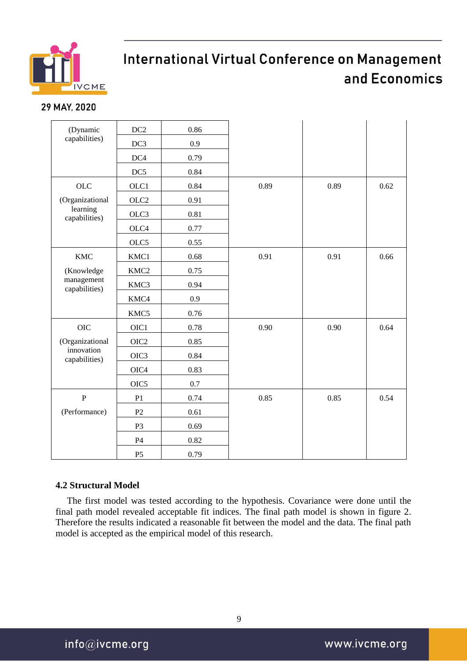

### 29 MAY, 2020

| (Dynamic                       | DC2              | 0.86 |      |      |      |
|--------------------------------|------------------|------|------|------|------|
| capabilities)                  | DC <sub>3</sub>  | 0.9  |      |      |      |
|                                | DC4              | 0.79 |      |      |      |
|                                | DC5              | 0.84 |      |      |      |
| <b>OLC</b>                     | OLC1             | 0.84 | 0.89 | 0.89 | 0.62 |
| (Organizational                | OLC <sub>2</sub> | 0.91 |      |      |      |
| learning<br>capabilities)      | OLC3             | 0.81 |      |      |      |
|                                | OLC4             | 0.77 |      |      |      |
|                                | OLC5             | 0.55 |      |      |      |
| <b>KMC</b>                     | KMC1             | 0.68 | 0.91 | 0.91 | 0.66 |
| (Knowledge                     | KMC <sub>2</sub> | 0.75 |      |      |      |
| $m$ anagement<br>capabilities) | KMC3             | 0.94 |      |      |      |
|                                | KMC4             | 0.9  |      |      |      |
|                                | KMC5             | 0.76 |      |      |      |
| OIC                            | OIC1             | 0.78 | 0.90 | 0.90 | 0.64 |
| (Organizational                | OIC <sub>2</sub> | 0.85 |      |      |      |
| innovation<br>capabilities)    | OIC <sub>3</sub> | 0.84 |      |      |      |
|                                | OIC4             | 0.83 |      |      |      |
|                                | OIC <sub>5</sub> | 0.7  |      |      |      |
| $\mathbf P$                    | P <sub>1</sub>   | 0.74 | 0.85 | 0.85 | 0.54 |
| (Performance)                  | P <sub>2</sub>   | 0.61 |      |      |      |
|                                | P <sub>3</sub>   | 0.69 |      |      |      |
|                                | P <sub>4</sub>   | 0.82 |      |      |      |
|                                | P <sub>5</sub>   | 0.79 |      |      |      |

### **4.2 Structural Model**

The first model was tested according to the hypothesis. Covariance were done until the final path model revealed acceptable fit indices. The final path model is shown in figure 2. Therefore the results indicated a reasonable fit between the model and the data. The final path model is accepted as the empirical model of this research.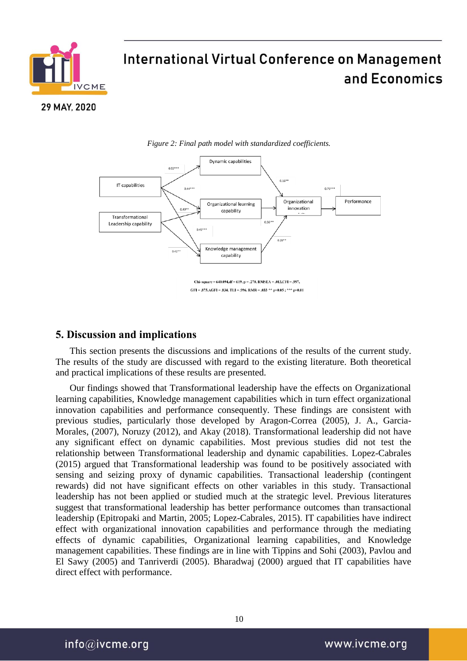

29 MAY, 2020



*Figure 2: Final path model with standardized coefficients.* 

#### **5. Discussion and implications**

This section presents the discussions and implications of the results of the current study. The results of the study are discussed with regard to the existing literature. Both theoretical and practical implications of these results are presented.

Our findings showed that Transformational leadership have the effects on Organizational learning capabilities, Knowledge management capabilities which in turn effect organizational innovation capabilities and performance consequently. These findings are consistent with previous studies, particularly those developed by Aragon-Correa (2005), J. A., Garcia-Morales, (2007), Noruzy (2012), and Akay (2018). Transformational leadership did not have any significant effect on dynamic capabilities. Most previous studies did not test the relationship between Transformational leadership and dynamic capabilities. Lopez-Cabrales (2015) argued that Transformational leadership was found to be positively associated with sensing and seizing proxy of dynamic capabilities. Transactional leadership (contingent rewards) did not have significant effects on other variables in this study. Transactional leadership has not been applied or studied much at the strategic level. Previous literatures suggest that transformational leadership has better performance outcomes than transactional leadership (Epitropaki and Martin, 2005; Lopez-Cabrales, 2015). IT capabilities have indirect effect with organizational innovation capabilities and performance through the mediating effects of dynamic capabilities, Organizational learning capabilities, and Knowledge management capabilities. These findings are in line with Tippins and Sohi (2003), Pavlou and El Sawy (2005) and Tanriverdi (2005). Bharadwaj (2000) argued that IT capabilities have direct effect with performance.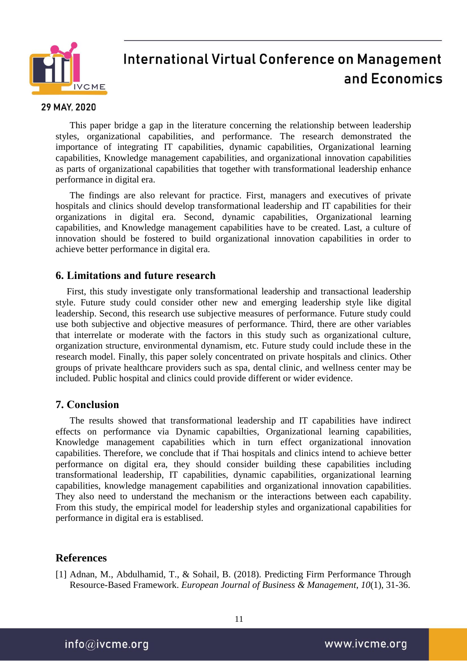

#### 29 MAY, 2020

This paper bridge a gap in the literature concerning the relationship between leadership styles, organizational capabilities, and performance. The research demonstrated the importance of integrating IT capabilities, dynamic capabilities, Organizational learning capabilities, Knowledge management capabilities, and organizational innovation capabilities as parts of organizational capabilities that together with transformational leadership enhance performance in digital era.

The findings are also relevant for practice. First, managers and executives of private hospitals and clinics should develop transformational leadership and IT capabilities for their organizations in digital era. Second, dynamic capabilities, Organizational learning capabilities, and Knowledge management capabilities have to be created. Last, a culture of innovation should be fostered to build organizational innovation capabilities in order to achieve better performance in digital era.

### **6. Limitations and future research**

First, this study investigate only transformational leadership and transactional leadership style. Future study could consider other new and emerging leadership style like digital leadership. Second, this research use subjective measures of performance. Future study could use both subjective and objective measures of performance. Third, there are other variables that interrelate or moderate with the factors in this study such as organizational culture, organization structure, environmental dynamism, etc. Future study could include these in the research model. Finally, this paper solely concentrated on private hospitals and clinics. Other groups of private healthcare providers such as spa, dental clinic, and wellness center may be included. Public hospital and clinics could provide different or wider evidence.

### **7. Conclusion**

The results showed that transformational leadership and IT capabilities have indirect effects on performance via Dynamic capabilties, Organizational learning capabilities, Knowledge management capabilities which in turn effect organizational innovation capabilities. Therefore, we conclude that if Thai hospitals and clinics intend to achieve better performance on digital era, they should consider building these capabilities including transformational leadership, IT capabilities, dynamic capabilities, organizational learning capabilities, knowledge management capabilities and organizational innovation capabilities. They also need to understand the mechanism or the interactions between each capability. From this study, the empirical model for leadership styles and organizational capabilities for performance in digital era is establised.

### **References**

[1] Adnan, M., Abdulhamid, T., & Sohail, B. (2018). Predicting Firm Performance Through Resource-Based Framework. *European Journal of Business & Management*, *10*(1), 31-36.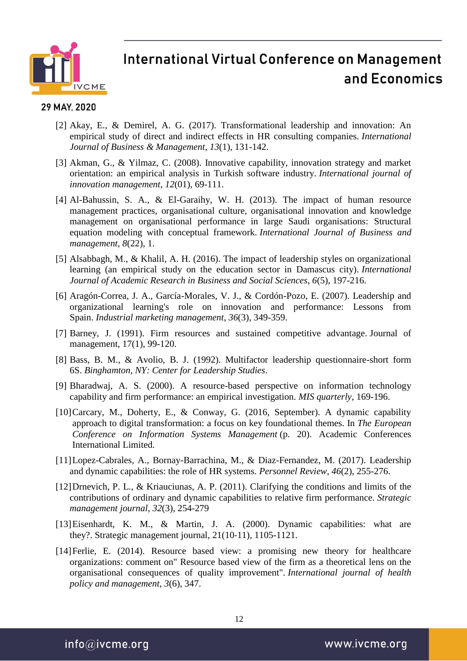

#### 29 MAY, 2020

- [2] Akay, E., & Demirel, A. G. (2017). Transformational leadership and innovation: An empirical study of direct and indirect effects in HR consulting companies. *International Journal of Business & Management*, *13*(1), 131-142.
- [3] Akman, G., & Yilmaz, C. (2008). Innovative capability, innovation strategy and market orientation: an empirical analysis in Turkish software industry. *International journal of innovation management*, *12*(01), 69-111.
- [4] Al-Bahussin, S. A., & El-Garaihy, W. H. (2013). The impact of human resource management practices, organisational culture, organisational innovation and knowledge management on organisational performance in large Saudi organisations: Structural equation modeling with conceptual framework. *International Journal of Business and management*, *8*(22), 1.
- [5] Alsabbagh, M., & Khalil, A. H. (2016). The impact of leadership styles on organizational learning (an empirical study on the education sector in Damascus city). *International Journal of Academic Research in Business and Social Sciences*, *6*(5), 197-216.
- [6] Aragón-Correa, J. A., García-Morales, V. J., & Cordón-Pozo, E. (2007). Leadership and organizational learning's role on innovation and performance: Lessons from Spain. *Industrial marketing management*, *36*(3), 349-359.
- [7] Barney, J. (1991). Firm resources and sustained competitive advantage. Journal of management, 17(1), 99-120.
- [8] Bass, B. M., & Avolio, B. J. (1992). Multifactor leadership questionnaire-short form 6S. *Binghamton, NY: Center for Leadership Studies*.
- [9] Bharadwaj, A. S. (2000). A resource-based perspective on information technology capability and firm performance: an empirical investigation. *MIS quarterly*, 169-196.
- [10]Carcary, M., Doherty, E., & Conway, G. (2016, September). A dynamic capability approach to digital transformation: a focus on key foundational themes. In *The European Conference on Information Systems Management* (p. 20). Academic Conferences International Limited.
- [11]Lopez-Cabrales, A., Bornay-Barrachina, M., & Diaz-Fernandez, M. (2017). Leadership and dynamic capabilities: the role of HR systems. *Personnel Review*, *46*(2), 255-276.
- [12]Drnevich, P. L., & Kriauciunas, A. P. (2011). Clarifying the conditions and limits of the contributions of ordinary and dynamic capabilities to relative firm performance. *Strategic management journal*, *32*(3), 254-279
- [13]Eisenhardt, K. M., & Martin, J. A. (2000). Dynamic capabilities: what are they?. Strategic management journal, 21(10‐11), 1105-1121.
- [14]Ferlie, E. (2014). Resource based view: a promising new theory for healthcare organizations: comment on" Resource based view of the firm as a theoretical lens on the organisational consequences of quality improvement". *International journal of health policy and management*, *3*(6), 347.

12